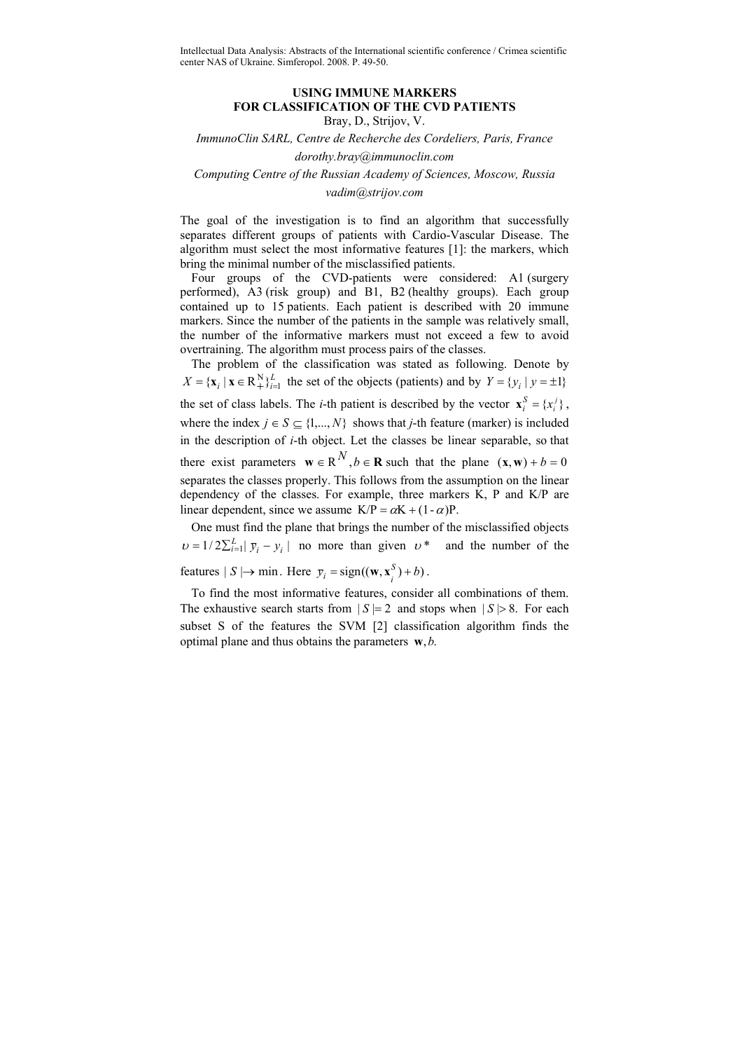Intellectual Data Analysis: Abstracts of the International scientific conference / Crimea scientific center NAS of Ukraine. Simferopol. 2008. P. 49-50.

## **USING IMMUNE MARKERS FOR CLASSIFICATION OF THE CVD PATIENTS**  Bray, D., Strijov, V.

*ImmunoClin SARL, Centre de Recherche des Cordeliers, Paris, France* 

*dorothy.bray@immunoclin.com* 

*Computing Centre of the Russian Academy of Sciences, Moscow, Russia* 

*vadim@strijov.com* 

The goal of the investigation is to find an algorithm that successfully separates different groups of patients with Cardio-Vascular Disease. The algorithm must select the most informative features [1]: the markers, which bring the minimal number of the misclassified patients.

Four groups of the CVD-patients were considered: A1 (surgery performed), A3 (risk group) and B1, B2 (healthy groups). Each group contained up to 15 patients. Each patient is described with 20 immune markers. Since the number of the patients in the sample was relatively small, the number of the informative markers must not exceed a few to avoid overtraining. The algorithm must process pairs of the classes.

The problem of the classification was stated as following. Denote by  $X = \{x_i \mid x \in \mathbb{R}^N\}_{i=1}^L$  the set of the objects (patients) and by  $Y = \{y_i \mid y = \pm 1\}$ the set of class labels. The *i*-th patient is described by the vector  ${\bf x}_i^S = \{x_i^j\}$ , where the index  $j \in S \subset \{1,...,N\}$  shows that *j*-th feature (marker) is included in the description of *i*-th object. Let the classes be linear separable, so that there exist parameters  $\mathbf{w} \in \mathbb{R}^{N}$ ,  $b \in \mathbb{R}$  such that the plane  $(\mathbf{x}, \mathbf{w}) + b = 0$ separates the classes properly. This follows from the assumption on the linear dependency of the classes. For example, three markers K, P and K/P are linear dependent, since we assume  $K/P = \alpha K + (1 - \alpha)P$ .

One must find the plane that brings the number of the misclassified objects  $\nu = 1/2 \sum_{i=1}^{L} |\overline{y}_i - \overline{y}_i|$  no more than given  $\nu^*$  and the number of the features  $| S | \rightarrow \text{min}$ . Here  $\overline{y}_i = \text{sign}((\mathbf{w}, \mathbf{x}_i^S) + b)$ .

To find the most informative features, consider all combinations of them. The exhaustive search starts from  $|S|=2$  and stops when  $|S|>8$ . For each subset S of the features the SVM [2] classification algorithm finds the optimal plane and thus obtains the parameters **w**,*b*.